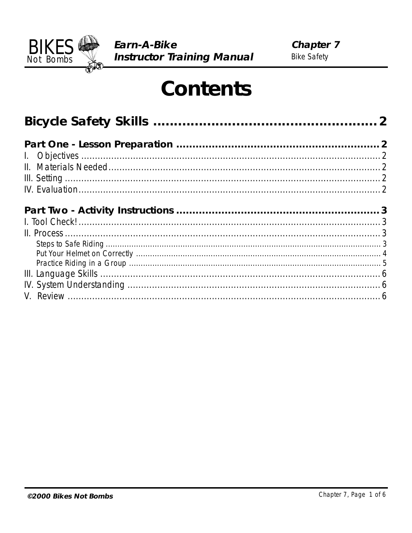

# **Contents**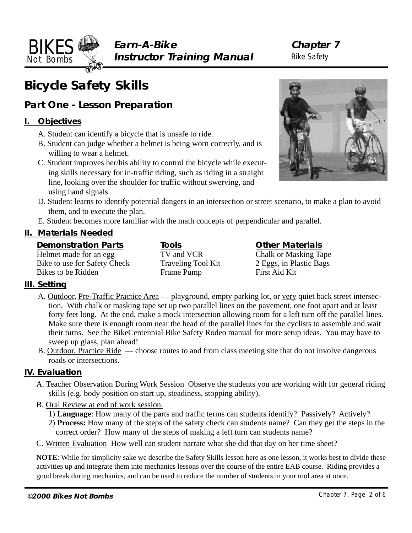**Earn-A-Bike Instructor Training Manual** **Chapter 7** Bike Safety

# **Bicycle Safety Skills**

# **Part One - Lesson Preparation**

# **I. Objectives**

<span id="page-1-0"></span>**BIKES** Not Bombs

- A. Student can identify a bicycle that is unsafe to ride.
- B. Student can judge whether a helmet is being worn correctly, and is willing to wear a helmet.
- C. Student improves her/his ability to control the bicycle while executing skills necessary for in-traffic riding, such as riding in a straight line, looking over the shoulder for traffic without swerving, and using hand signals.
- D. Student learns to identify potential dangers in an intersection or street scenario, to make a plan to avoid them, and to execute the plan.
- E. Student becomes more familiar with the math concepts of perpendicular and parallel.

# **II. Materials Needed**

### **Demonstration Parts**

Helmet made for an egg Bike to use for Safety Check Bikes to be Ridden

**Tools** TV and VCR Traveling Tool Kit Frame Pump

**Other Materials** Chalk or Masking Tape 2 Eggs, in Plastic Bags First Aid Kit

# **III. Setting**

- A. Outdoor, Pre-Traffic Practice Area playground, empty parking lot, or very quiet back street intersection. With chalk or masking tape set up two parallel lines on the pavement, one foot apart and at least forty feet long. At the end, make a mock intersection allowing room for a left turn off the parallel lines. Make sure there is enough room near the head of the parallel lines for the cyclists to assemble and wait their turns. See the BikeCentennial Bike Safety Rodeo manual for more setup ideas. You may have to sweep up glass, plan ahead!
- B. Outdoor, Practice Ride choose routes to and from class meeting site that do not involve dangerous roads or intersections.

# **IV. Evaluation**

- A. Teacher Observation During Work Session Observe the students you are working with for general riding skills (e.g. body position on start up, steadiness, stopping ability).
- B. Oral Review at end of work session.
	- 1) **Language**: How many of the parts and traffic terms can students identify? Passively? Actively?
	- 2) **Process:** How many of the steps of the safety check can students name? Can they get the steps in the correct order? How many of the steps of making a left turn can students name?
- C. Written Evaluation How well can student narrate what she did that day on her time sheet?

**NOTE**: While for simplicity sake we describe the Safety Skills lesson here as one lesson, it works best to divide these activities up and integrate them into mechanics lessons over the course of the entire EAB course. Riding provides a good break during mechanics, and can be used to reduce the number of students in your tool area at once.

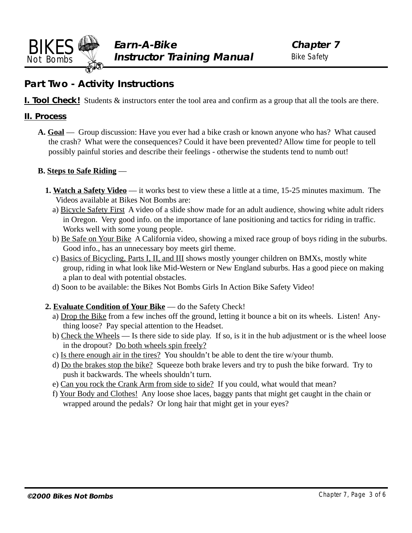<span id="page-2-0"></span>

# **Part Two - Activity Instructions**

**I. Tool Check!** Students  $\&$  instructors enter the tool area and confirm as a group that all the tools are there.

#### **II. Process**

**A. Goal** — Group discussion: Have you ever had a bike crash or known anyone who has? What caused the crash? What were the consequences? Could it have been prevented? Allow time for people to tell possibly painful stories and describe their feelings - otherwise the students tend to numb out!

#### **B. Steps to Safe Riding** —

- **1. Watch a Safety Video** it works best to view these a little at a time, 15-25 minutes maximum. The Videos available at Bikes Not Bombs are:
	- a) Bicycle Safety First A video of a slide show made for an adult audience, showing white adult riders in Oregon. Very good info. on the importance of lane positioning and tactics for riding in traffic. Works well with some young people.
	- b) Be Safe on Your Bike A California video, showing a mixed race group of boys riding in the suburbs. Good info., has an unnecessary boy meets girl theme.
	- c) Basics of Bicycling, Parts I, II, and III shows mostly younger children on BMXs, mostly white group, riding in what look like Mid-Western or New England suburbs. Has a good piece on making a plan to deal with potential obstacles.
	- d) Soon to be available: the Bikes Not Bombs Girls In Action Bike Safety Video!
- **2. Evaluate Condition of Your Bike** do the Safety Check!
	- a) Drop the Bike from a few inches off the ground, letting it bounce a bit on its wheels. Listen! Anything loose? Pay special attention to the Headset.
	- b) Check the Wheels Is there side to side play. If so, is it in the hub adjustment or is the wheel loose in the dropout? Do both wheels spin freely?
	- c) Is there enough air in the tires? You shouldn't be able to dent the tire w/your thumb.
	- d) Do the brakes stop the bike? Squeeze both brake levers and try to push the bike forward. Try to push it backwards. The wheels shouldn't turn.
	- e) Can you rock the Crank Arm from side to side? If you could, what would that mean?
	- f) Your Body and Clothes! Any loose shoe laces, baggy pants that might get caught in the chain or wrapped around the pedals? Or long hair that might get in your eyes?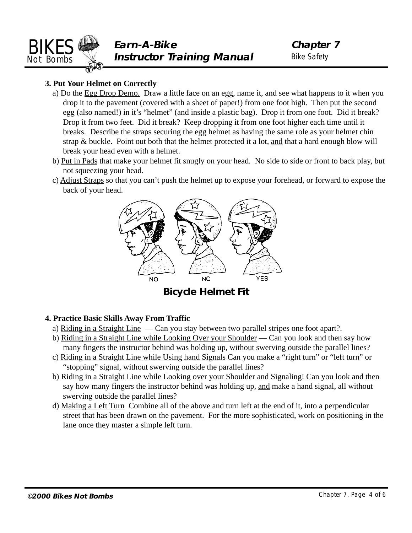<span id="page-3-0"></span>

**Chapter 7** Bike Safety

### **3. Put Your Helmet on Correctly**

- a) Do the Egg Drop Demo. Draw a little face on an egg, name it, and see what happens to it when you drop it to the pavement (covered with a sheet of paper!) from one foot high. Then put the second egg (also named!) in it's "helmet" (and inside a plastic bag). Drop it from one foot. Did it break? Drop it from two feet. Did it break? Keep dropping it from one foot higher each time until it breaks. Describe the straps securing the egg helmet as having the same role as your helmet chin strap & buckle. Point out both that the helmet protected it a lot, and that a hard enough blow will break your head even with a helmet.
- b) Put in Pads that make your helmet fit snugly on your head. No side to side or front to back play, but not squeezing your head.
- c) Adjust Straps so that you can't push the helmet up to expose your forehead, or forward to expose the back of your head.



**Bicycle Helmet Fit**

#### **4. Practice Basic Skills Away From Traffic**

- a) Riding in a Straight Line Can you stay between two parallel stripes one foot apart?.
- b) Riding in a Straight Line while Looking Over your Shoulder Can you look and then say how many fingers the instructor behind was holding up, without swerving outside the parallel lines?
- c) Riding in a Straight Line while Using hand Signals Can you make a "right turn" or "left turn" or "stopping" signal, without swerving outside the parallel lines?
- b) Riding in a Straight Line while Looking over your Shoulder and Signaling! Can you look and then say how many fingers the instructor behind was holding up, and make a hand signal, all without swerving outside the parallel lines?
- d) Making a Left Turn Combine all of the above and turn left at the end of it, into a perpendicular street that has been drawn on the pavement. For the more sophisticated, work on positioning in the lane once they master a simple left turn.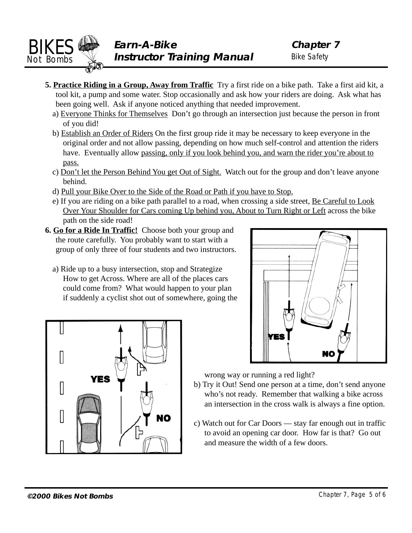<span id="page-4-0"></span>

- **5. Practice Riding in a Group, Away from Traffic** Try a first ride on a bike path. Take a first aid kit, a tool kit, a pump and some water. Stop occasionally and ask how your riders are doing. Ask what has been going well. Ask if anyone noticed anything that needed improvement.
	- a) Everyone Thinks for Themselves Don't go through an intersection just because the person in front of you did!
	- b) Establish an Order of Riders On the first group ride it may be necessary to keep everyone in the original order and not allow passing, depending on how much self-control and attention the riders have. Eventually allow passing, only if you look behind you, and warn the rider you're about to pass.
	- c) Don't let the Person Behind You get Out of Sight. Watch out for the group and don't leave anyone behind.
	- d) Pull your Bike Over to the Side of the Road or Path if you have to Stop.
	- e) If you are riding on a bike path parallel to a road, when crossing a side street, Be Careful to Look Over Your Shoulder for Cars coming Up behind you, About to Turn Right or Left across the bike path on the side road!
- **6. Go for a Ride In Traffic!** Choose both your group and the route carefully. You probably want to start with a group of only three of four students and two instructors.
	- a) Ride up to a busy intersection, stop and Strategize How to get Across. Where are all of the places cars could come from? What would happen to your plan if suddenly a cyclist shot out of somewhere, going the





wrong way or running a red light?

- b) Try it Out! Send one person at a time, don't send anyone who's not ready. Remember that walking a bike across an intersection in the cross walk is always a fine option.
- c) Watch out for Car Doors stay far enough out in traffic to avoid an opening car door. How far is that? Go out and measure the width of a few doors.